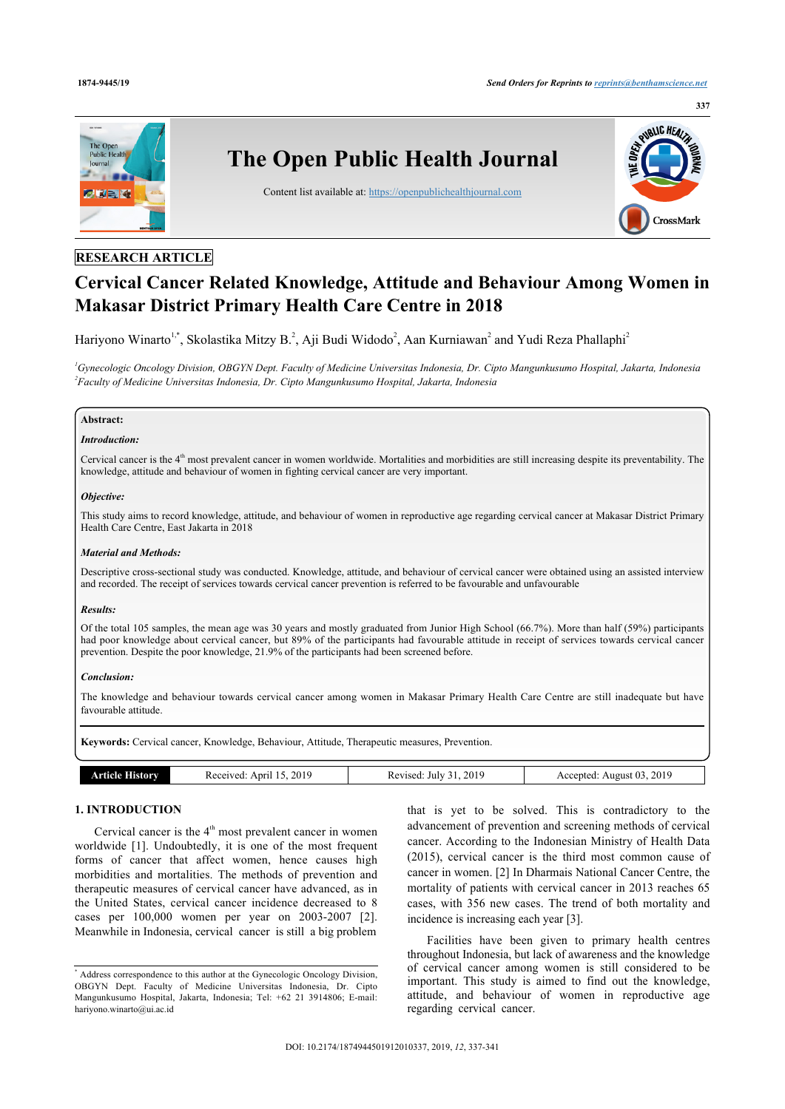

## **RESEARCH ARTICLE**

# **Cervical Cancer Related Knowledge, Attitude and Behaviour Among Women in Makasar District Primary Health Care Centre in 2018**

Hariyono Winarto<sup>[1](#page-0-0),[\\*](#page-0-1)</sup>, Skolastika Mitzy B.<sup>[2](#page-0-2)</sup>, Aji Budi Widodo<sup>2</sup>, Aan Kurniawan<sup>2</sup> and Yudi Reza Phallaphi<sup>2</sup>

<span id="page-0-2"></span><span id="page-0-0"></span>*<sup>1</sup>Gynecologic Oncology Division, OBGYN Dept. Faculty of Medicine Universitas Indonesia, Dr. Cipto Mangunkusumo Hospital, Jakarta, Indonesia 2 Faculty of Medicine Universitas Indonesia, Dr. Cipto Mangunkusumo Hospital, Jakarta, Indonesia*

## **Abstract:**

## *Introduction:*

Cervical cancer is the  $4<sup>th</sup>$  most prevalent cancer in women worldwide. Mortalities and morbidities are still increasing despite its preventability. The knowledge, attitude and behaviour of women in fighting cervical cancer are very important.

## *Objective:*

This study aims to record knowledge, attitude, and behaviour of women in reproductive age regarding cervical cancer at Makasar District Primary Health Care Centre, East Jakarta in 2018

#### *Material and Methods:*

Descriptive cross-sectional study was conducted. Knowledge, attitude, and behaviour of cervical cancer were obtained using an assisted interview and recorded. The receipt of services towards cervical cancer prevention is referred to be favourable and unfavourable

#### *Results:*

Of the total 105 samples, the mean age was 30 years and mostly graduated from Junior High School (66.7%). More than half (59%) participants had poor knowledge about cervical cancer, but 89% of the participants had favourable attitude in receipt of services towards cervical cancer prevention. Despite the poor knowledge, 21.9% of the participants had been screened before.

#### *Conclusion:*

The knowledge and behaviour towards cervical cancer among women in Makasar Primary Health Care Centre are still inadequate but have favourable attitude.

**Keywords:** Cervical cancer, Knowledge, Behaviour, Attitude, Therapeutic measures, Prevention.

| torv<br>rticle | 2019<br>ceceived.<br>April | 2019<br>Revised:<br>Julv<br>-41<br>$   -$<br>__ | 2019<br>$\sim$<br>August 03<br>Accepted:<br>----<br>--- |
|----------------|----------------------------|-------------------------------------------------|---------------------------------------------------------|

## **1. INTRODUCTION**

Cervical cancer is the  $4<sup>th</sup>$  most prevalent cancer in women worldwide[[1\]](#page-4-0). Undoubtedly, it is one of the most frequent forms of cancer that affect women, hence causes high morbidities and mortalities. The methods of prevention and therapeutic measures of cervical cancer have advanced, as in the United States, cervical cancer incidence decreased to 8 cases per 100,000 women per year on 2003-2007 [\[2\]](#page-4-1). Meanwhile in Indonesia, cervical cancer is still a big problem

that is yet to be solved. This is contradictory to the advancement of prevention and screening methods of cervical cancer. According to the Indonesian Ministry of Health Data (2015), cervical cancer is the third most common cause of cancer in women. [[2\]](#page-4-1) In Dharmais National Cancer Centre, the mortality of patients with cervical cancer in 2013 reaches 65 cases, with 356 new cases. The trend of both mortality and incidence is increasing each year [[3](#page-4-2)].

Facilities have been given to primary health centres throughout Indonesia, but lack of awareness and the knowledge of cervical cancer among women is still considered to be important. This study is aimed to find out the knowledge, attitude, and behaviour of women in reproductive age regarding cervical cancer.

<span id="page-0-1"></span><sup>\*</sup> Address correspondence to this author at the Gynecologic Oncology Division, OBGYN Dept. Faculty of Medicine Universitas Indonesia, Dr. Cipto Mangunkusumo Hospital, Jakarta, Indonesia; Tel: +62 21 3914806; E-mail: [hariyono.winarto@ui.ac.id](mailto:hariyono.winarto@ui.ac.id)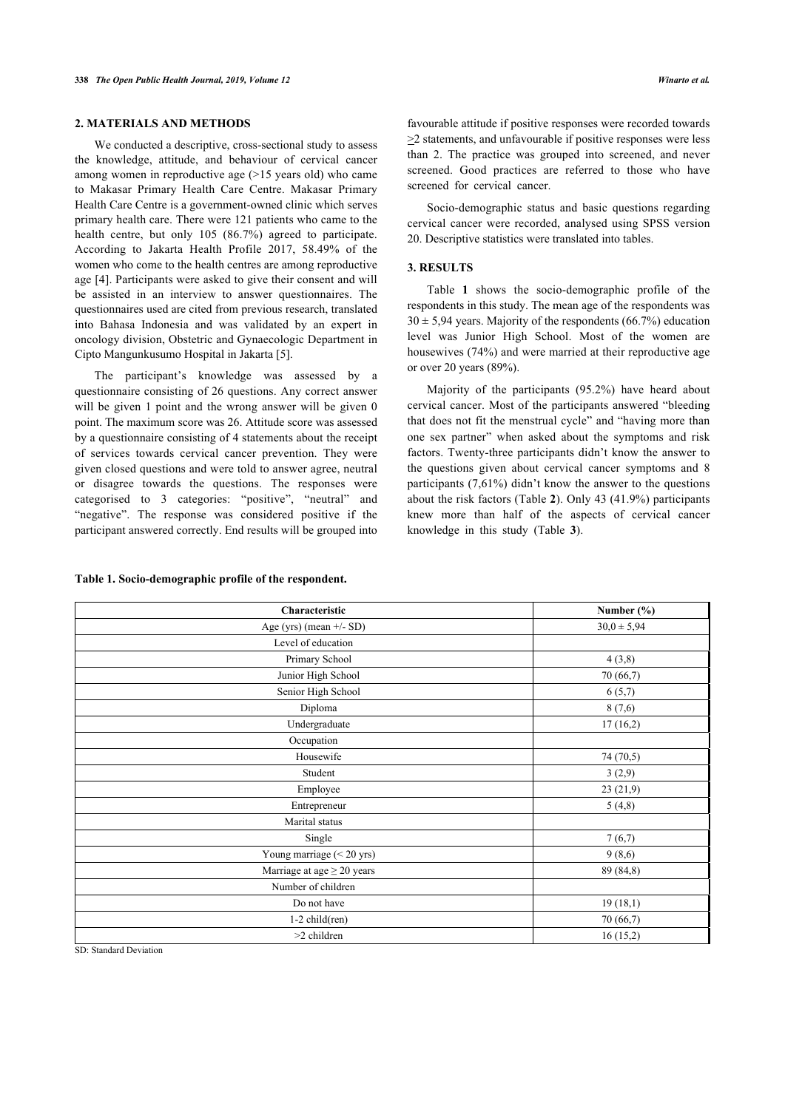## **2. MATERIALS AND METHODS**

We conducted a descriptive, cross-sectional study to assess the knowledge, attitude, and behaviour of cervical cancer among women in reproductive age (>15 years old) who came to Makasar Primary Health Care Centre. Makasar Primary Health Care Centre is a government-owned clinic which serves primary health care. There were 121 patients who came to the health centre, but only 105 (86.7%) agreed to participate. According to Jakarta Health Profile 2017, 58.49% of the women who come to the health centres are among reproductive age [\[4\]](#page-4-3). Participants were asked to give their consent and will be assisted in an interview to answer questionnaires. The questionnaires used are cited from previous research, translated into Bahasa Indonesia and was validated by an expert in oncology division, Obstetric and Gynaecologic Department in Cipto Mangunkusumo Hospital in Jakarta [\[5\]](#page-4-4).

The participant's knowledge was assessed by a questionnaire consisting of 26 questions. Any correct answer will be given 1 point and the wrong answer will be given 0 point. The maximum score was 26. Attitude score was assessed by a questionnaire consisting of 4 statements about the receipt of services towards cervical cancer prevention. They were given closed questions and were told to answer agree, neutral or disagree towards the questions. The responses were categorised to 3 categories: "positive", "neutral" and "negative". The response was considered positive if the participant answered correctly. End results will be grouped into

### **Table 1. Socio-demographic profile of the respondent.**

favourable attitude if positive responses were recorded towards >2 statements, and unfavourable if positive responses were less than 2. The practice was grouped into screened, and never screened. Good practices are referred to those who have screened for cervical cancer.

Socio-demographic status and basic questions regarding cervical cancer were recorded, analysed using SPSS version 20. Descriptive statistics were translated into tables.

## **3. RESULTS**

Table**1** shows the socio-demographic profile of the respondents in this study. The mean age of the respondents was  $30 \pm 5.94$  years. Majority of the respondents (66.7%) education level was Junior High School. Most of the women are housewives (74%) and were married at their reproductive age or over 20 years (89%).

Majority of the participants (95.2%) have heard about cervical cancer. Most of the participants answered "bleeding that does not fit the menstrual cycle" and "having more than one sex partner" when asked about the symptoms and risk factors. Twenty-three participants didn't know the answer to the questions given about cervical cancer symptoms and 8 participants (7,61%) didn't know the answer to the questions about the risk factors (Table **[2](#page--1-0)**). Only 43 (41.9%) participants knew more than half of the aspects of cervical cancer knowledge in this study (Table**3**).

| Characteristic                  | Number $(\%)$   |
|---------------------------------|-----------------|
| Age (yrs) (mean $+/-$ SD)       | $30,0 \pm 5,94$ |
| Level of education              |                 |
| Primary School                  | 4(3,8)          |
| Junior High School              | 70 (66,7)       |
| Senior High School              | 6(5,7)          |
| Diploma                         | 8(7,6)          |
| Undergraduate                   | 17(16,2)        |
| Occupation                      |                 |
| Housewife                       | 74 (70,5)       |
| Student                         | 3(2,9)          |
| Employee                        | 23(21,9)        |
| Entrepreneur                    | 5(4,8)          |
| Marital status                  |                 |
| Single                          | 7(6,7)          |
| Young marriage $(< 20$ yrs)     | 9(8,6)          |
| Marriage at age $\geq$ 20 years | 89 (84,8)       |
| Number of children              |                 |
| Do not have                     | 19(18,1)        |
| $1-2$ child(ren)                | 70 (66,7)       |
| >2 children                     | 16(15,2)        |
|                                 |                 |

SD: Standard Deviation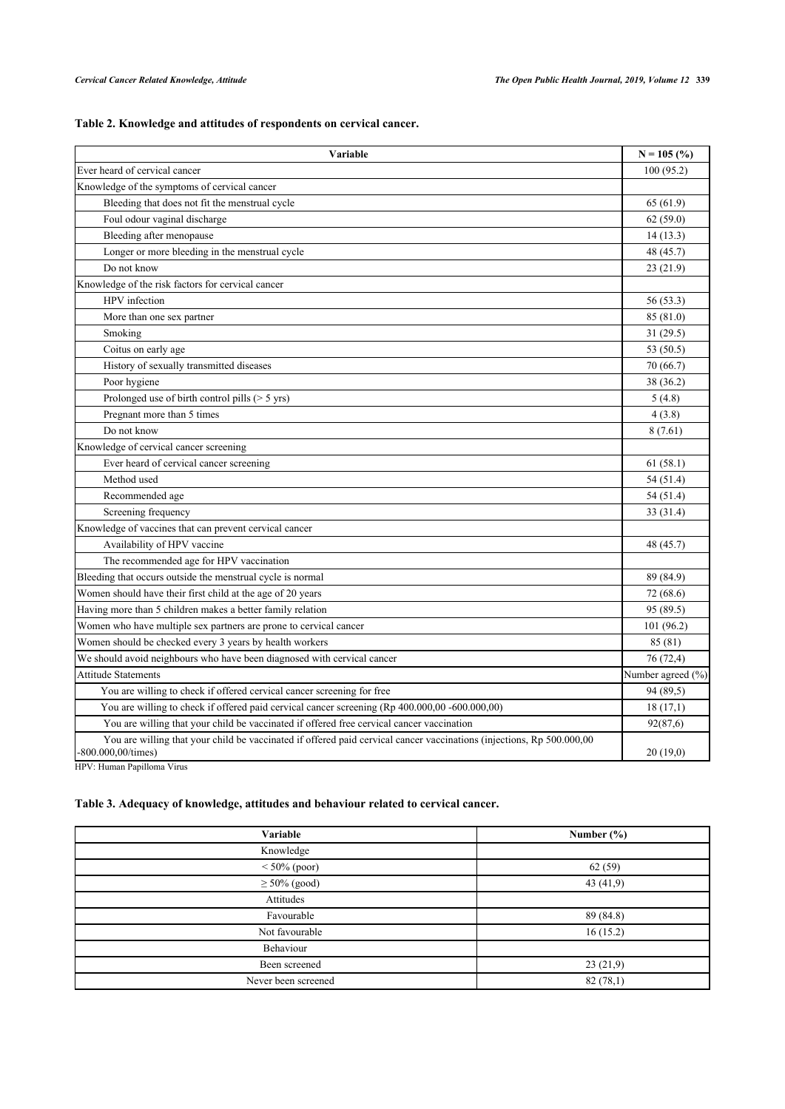## **Table 2. Knowledge and attitudes of respondents on cervical cancer.**

| Variable                                                                                                                                    | $N = 105$ (%) |  |
|---------------------------------------------------------------------------------------------------------------------------------------------|---------------|--|
| Ever heard of cervical cancer                                                                                                               |               |  |
| Knowledge of the symptoms of cervical cancer                                                                                                |               |  |
| Bleeding that does not fit the menstrual cycle                                                                                              | 65 (61.9)     |  |
| Foul odour vaginal discharge                                                                                                                | 62(59.0)      |  |
| Bleeding after menopause                                                                                                                    | 14(13.3)      |  |
| Longer or more bleeding in the menstrual cycle                                                                                              | 48 (45.7)     |  |
| Do not know                                                                                                                                 | 23(21.9)      |  |
| Knowledge of the risk factors for cervical cancer                                                                                           |               |  |
| HPV infection                                                                                                                               | 56 (53.3)     |  |
| More than one sex partner                                                                                                                   | 85 (81.0)     |  |
| Smoking                                                                                                                                     | 31 (29.5)     |  |
| Coitus on early age                                                                                                                         | 53 (50.5)     |  |
| History of sexually transmitted diseases                                                                                                    | 70 (66.7)     |  |
| Poor hygiene                                                                                                                                | 38 (36.2)     |  |
| Prolonged use of birth control pills $($ > 5 yrs)                                                                                           | 5(4.8)        |  |
| Pregnant more than 5 times                                                                                                                  | 4(3.8)        |  |
| Do not know                                                                                                                                 | 8(7.61)       |  |
| Knowledge of cervical cancer screening                                                                                                      |               |  |
| Ever heard of cervical cancer screening                                                                                                     | 61(58.1)      |  |
| Method used                                                                                                                                 | 54 (51.4)     |  |
| Recommended age                                                                                                                             | 54 (51.4)     |  |
| Screening frequency                                                                                                                         | 33 (31.4)     |  |
| Knowledge of vaccines that can prevent cervical cancer                                                                                      |               |  |
| Availability of HPV vaccine                                                                                                                 | 48 (45.7)     |  |
| The recommended age for HPV vaccination                                                                                                     |               |  |
| Bleeding that occurs outside the menstrual cycle is normal                                                                                  | 89 (84.9)     |  |
| Women should have their first child at the age of 20 years                                                                                  | 72 (68.6)     |  |
| Having more than 5 children makes a better family relation                                                                                  | 95 (89.5)     |  |
| Women who have multiple sex partners are prone to cervical cancer                                                                           | 101 (96.2)    |  |
| Women should be checked every 3 years by health workers                                                                                     | 85 (81)       |  |
| We should avoid neighbours who have been diagnosed with cervical cancer                                                                     |               |  |
| <b>Attitude Statements</b>                                                                                                                  |               |  |
| You are willing to check if offered cervical cancer screening for free                                                                      |               |  |
| You are willing to check if offered paid cervical cancer screening (Rp 400.000,00 -600.000,00)                                              | 18(17,1)      |  |
| You are willing that your child be vaccinated if offered free cervical cancer vaccination                                                   |               |  |
| You are willing that your child be vaccinated if offered paid cervical cancer vaccinations (injections, Rp 500.000,00<br>-800.000,00/times) | 20(19,0)      |  |

HPV: Human Papilloma Virus

## **Table 3. Adequacy of knowledge, attitudes and behaviour related to cervical cancer.**

| Variable            | Number $(\% )$ |
|---------------------|----------------|
| Knowledge           |                |
| $< 50\%$ (poor)     | 62(59)         |
| $\geq 50\%$ (good)  | 43 $(41,9)$    |
| Attitudes           |                |
| Favourable          | 89 (84.8)      |
| Not favourable      | 16(15.2)       |
| Behaviour           |                |
| Been screened       | 23(21,9)       |
| Never been screened | 82(78,1)       |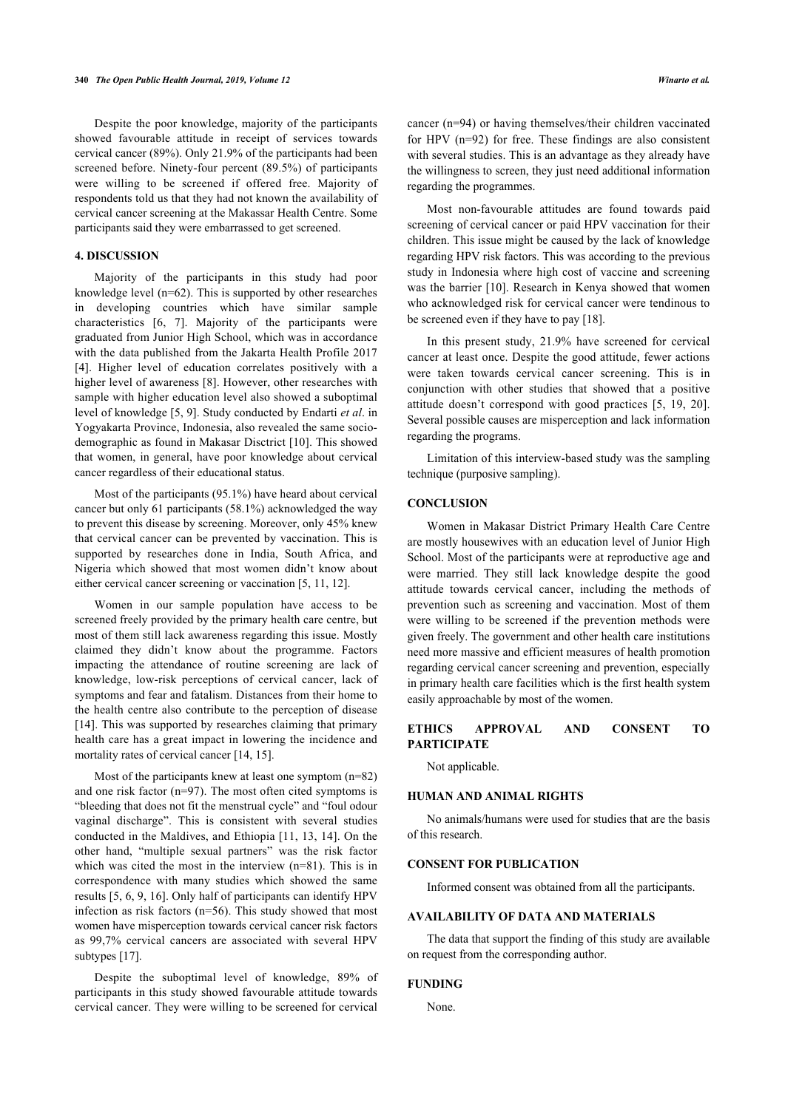Despite the poor knowledge, majority of the participants showed favourable attitude in receipt of services towards cervical cancer (89%). Only 21.9% of the participants had been screened before. Ninety-four percent (89.5%) of participants were willing to be screened if offered free. Majority of respondents told us that they had not known the availability of cervical cancer screening at the Makassar Health Centre. Some participants said they were embarrassed to get screened.

## **4. DISCUSSION**

Majority of the participants in this study had poor knowledge level (n=62). This is supported by other researches in developing countries which have similar sample characteristics[[6,](#page-4-5) [7\]](#page-4-6). Majority of the participants were graduated from Junior High School, which was in accordance with the data published from the Jakarta Health Profile 2017 [[4](#page-4-3)]. Higher level of education correlates positively with a higher level of awareness [[8](#page-4-7)]. However, other researches with sample with higher education level also showed a suboptimal level of knowledge [\[5,](#page-4-4) [9](#page-4-8)]. Study conducted by Endarti *et al*. in Yogyakarta Province, Indonesia, also revealed the same sociodemographic as found in Makasar Disctrict [\[10\]](#page-4-9). This showed that women, in general, have poor knowledge about cervical cancer regardless of their educational status.

Most of the participants (95.1%) have heard about cervical cancer but only 61 participants (58.1%) acknowledged the way to prevent this disease by screening. Moreover, only 45% knew that cervical cancer can be prevented by vaccination. This is supported by researches done in India, South Africa, and Nigeria which showed that most women didn't know about either cervical cancer screening or vaccination [\[5,](#page-4-4) [11](#page-4-10), [12\]](#page-4-11).

Women in our sample population have access to be screened freely provided by the primary health care centre, but most of them still lack awareness regarding this issue. Mostly claimed they didn't know about the programme. Factors impacting the attendance of routine screening are lack of knowledge, low-risk perceptions of cervical cancer, lack of symptoms and fear and fatalism. Distances from their home to the health centre also contribute to the perception of disease [[14\]](#page-4-12). This was supported by researches claiming that primary health care has a great impact in lowering the incidence and mortality rates of cervical cancer [\[14](#page-4-12), [15\]](#page-4-13).

Most of the participants knew at least one symptom (n=82) and one risk factor (n=97). The most often cited symptoms is "bleeding that does not fit the menstrual cycle" and "foul odour vaginal discharge". This is consistent with several studies conducted in the Maldives, and Ethiopia [[11,](#page-4-10) [13](#page-4-14), [14\]](#page-4-12). On the other hand, "multiple sexual partners" was the risk factor which was cited the most in the interview (n=81). This is in correspondence with many studies which showed the same results [[5](#page-4-4), [6,](#page-4-5) [9,](#page-4-8) [16\]](#page-4-15). Only half of participants can identify HPV infection as risk factors (n=56). This study showed that most women have misperception towards cervical cancer risk factors as 99,7% cervical cancers are associated with several HPV subtypes [\[17](#page-4-16)].

Despite the suboptimal level of knowledge, 89% of participants in this study showed favourable attitude towards cervical cancer. They were willing to be screened for cervical

cancer (n=94) or having themselves/their children vaccinated for HPV (n=92) for free. These findings are also consistent with several studies. This is an advantage as they already have the willingness to screen, they just need additional information regarding the programmes.

Most non-favourable attitudes are found towards paid screening of cervical cancer or paid HPV vaccination for their children. This issue might be caused by the lack of knowledge regarding HPV risk factors. This was according to the previous study in Indonesia where high cost of vaccine and screening was the barrier [[10\]](#page-4-9). Research in Kenya showed that women who acknowledged risk for cervical cancer were tendinous to be screened even if they have to pay [[18\]](#page-4-17).

In this present study, 21.9% have screened for cervical cancer at least once. Despite the good attitude, fewer actions were taken towards cervical cancer screening. This is in conjunction with other studies that showed that a positive attitude doesn't correspond with good practices[[5,](#page-4-4) [19,](#page-4-18) [20](#page-4-19)]. Several possible causes are misperception and lack information regarding the programs.

Limitation of this interview-based study was the sampling technique (purposive sampling).

## **CONCLUSION**

Women in Makasar District Primary Health Care Centre are mostly housewives with an education level of Junior High School. Most of the participants were at reproductive age and were married. They still lack knowledge despite the good attitude towards cervical cancer, including the methods of prevention such as screening and vaccination. Most of them were willing to be screened if the prevention methods were given freely. The government and other health care institutions need more massive and efficient measures of health promotion regarding cervical cancer screening and prevention, especially in primary health care facilities which is the first health system easily approachable by most of the women.

## **ETHICS APPROVAL AND CONSENT TO PARTICIPATE**

Not applicable.

## **HUMAN AND ANIMAL RIGHTS**

No animals/humans were used for studies that are the basis of this research.

## **CONSENT FOR PUBLICATION**

Informed consent was obtained from all the participants.

## **AVAILABILITY OF DATA AND MATERIALS**

The data that support the finding of this study are available on request from the corresponding author.

#### **FUNDING**

None.